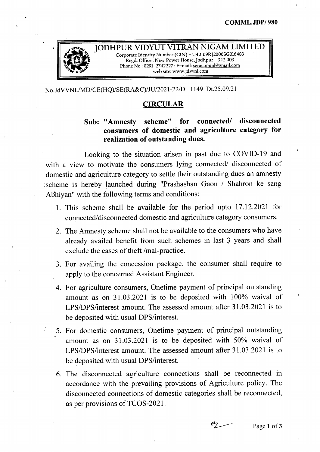

JODHPUR VIDYUT VITRAN NIGAM LIMITED *Corporate Identity Number (CIN) - U40109RJ2000SG016483*<br>Regd. Office : New Power House, Jodhpur - 342 003 Phone No: 0291-2742227: E-mail: seracomml@gmail.com web site: www.jdvvnl.com

No.JdVVNLlMD/CE(HQ)/SE(RA&C)/JU/2021-22/D. 1149 Dt.25.09.21

## CIRCULAR

## Sub: "Amnesty scheme" for connected/ disconnected consumers of domestic and agriculture category for realization of outstanding dues.

Looking to the situation arisen in past due to COVID-19 and with a view to motivate the consumers lying connected/ disconnected of domestic and agriculture category to settle their outstanding dues an amnesty :scheme is hereby launched during "Prashashan Gaon / Shahron ke sang Abbiyan" with the following terms and conditions:

- 1. This scheme shall be available for the period upto 17.12.2021 for connected/disconnected domestic and agriculture category consumers.
- 2. The Amnesty scheme shall not be available to the consumers who have already availed benefit from such schemes in last 3 years and shall exclude the cases of theft /mal-practice.
- 3. For availing the concession package, the consumer shall require to apply to the concerned Assistant Engineer.
- 4. For agriculture consumers, Onetime payment of principal outstanding amount as on 31.03.2021 is to be deposited with 100% waival of LPS/DPS/interest amount. The assessed amount after 31.03.2021 is to be deposited with usual DPS/interest.
- 5. For domestic consumers, Onetime payment of principal outstanding amount as on 31.03.2021 is to be deposited with 50% waival of LPS/DPS/interest amount. The assessed amount after 31.03.2021 is to be deposited with usual DPS/interest.
- 6. The disconnected agriculture connections shall be reconnected in accordance with the prevailing provisions of Agriculture policy. The disconnected connections of domestic categories shall be reconnected, as per provisions of TCOS-2021.

 $\mathcal{C}_{\mathcal{L}}$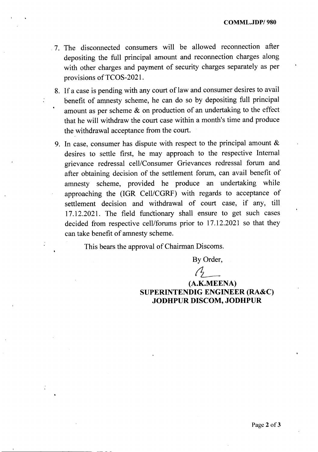COMML.JDPI 980

- .7. The disconnected consumers will be allowed reconnection after depositing the full principal amount and reconnection charges along with other charges and payment of security charges separately as per provisions of TCOS-2021.
- 8. If a case is pending with any court of law and consumer desires to avail benefit of amnesty scheme, he can do so by depositing full principal amount as per scheme & on production of an undertaking to the effect that he will withdraw the court case within a month's time and produce the withdrawal acceptance from the court.
- 9. In case, consumer has dispute with respect to the principal amount & desires to settle first, he may approach to the respective Internal grievance redressal cell/Consumer Grievances redressal forum and after obtaining decision of the settlement forum, can avail benefit of amnesty scheme, provided he produce an undertaking while approaching the (IGR Cell/CGRF) with regards to acceptance of settlement decision and withdrawal of court case, if any, till 17.12.2021. The field functionary shall ensure to get such cases decided from respective cell/forums prior to 17.12.2021 so that they can take benefit of amnesty scheme.

This bears the approval of Chairman Discoms.

By Order,

 $\mathcal{A}^-$ 

(A.K.MEENA) SUPERINTENDIG ENGINEER (RA&C) JODHPUR DISCOM, JODHPUR